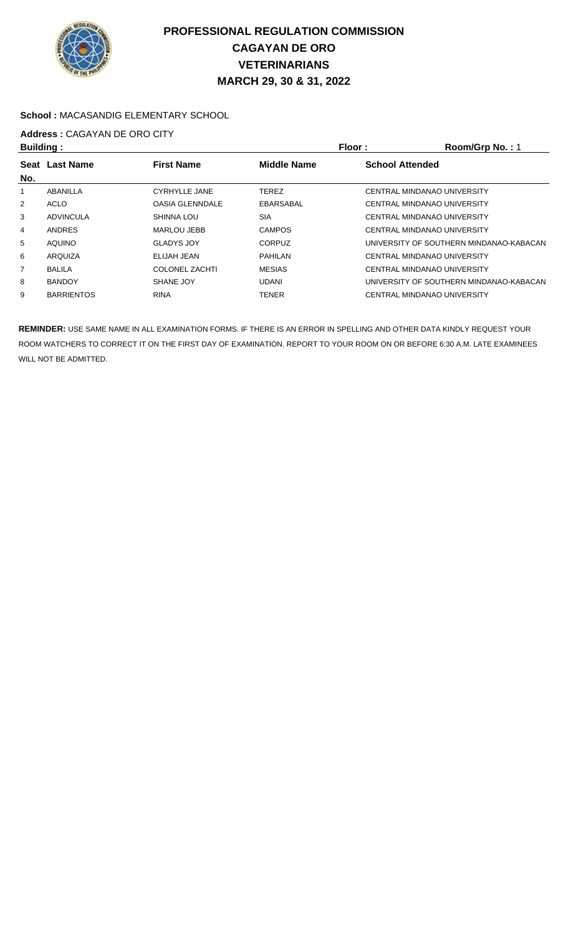

### **School :** MACASANDIG ELEMENTARY SCHOOL

# **Address :** CAGAYAN DE ORO CITY

|                   |                        |                    | Floor:                 | Room/Grp No.: 1                         |
|-------------------|------------------------|--------------------|------------------------|-----------------------------------------|
| <b>Last Name</b>  | <b>First Name</b>      | <b>Middle Name</b> | <b>School Attended</b> |                                         |
|                   |                        |                    |                        |                                         |
| ABANILLA          | <b>CYRHYLLE JANE</b>   | <b>TEREZ</b>       |                        | <b>CENTRAL MINDANAO UNIVERSITY</b>      |
| ACLO              | <b>OASIA GLENNDALE</b> | EBARSABAL          |                        | CENTRAL MINDANAO UNIVERSITY             |
| <b>ADVINCULA</b>  | SHINNA LOU             | <b>SIA</b>         |                        | CENTRAL MINDANAO UNIVERSITY             |
| <b>ANDRES</b>     | MARLOU JEBB            | <b>CAMPOS</b>      |                        | CENTRAL MINDANAO UNIVERSITY             |
| <b>AQUINO</b>     | <b>GLADYS JOY</b>      | <b>CORPUZ</b>      |                        | UNIVERSITY OF SOUTHERN MINDANAO-KABACAN |
| ARQUIZA           | ELIJAH JEAN            | <b>PAHILAN</b>     |                        | CENTRAL MINDANAO UNIVERSITY             |
| <b>BALILA</b>     | <b>COLONEL ZACHTI</b>  | <b>MESIAS</b>      |                        | CENTRAL MINDANAO UNIVERSITY             |
| <b>BANDOY</b>     | SHANE JOY              | <b>UDANI</b>       |                        | UNIVERSITY OF SOUTHERN MINDANAO-KABACAN |
| <b>BARRIENTOS</b> | <b>RINA</b>            | <b>TENER</b>       |                        | CENTRAL MINDANAO UNIVERSITY             |
|                   | <b>Building:</b>       |                    |                        |                                         |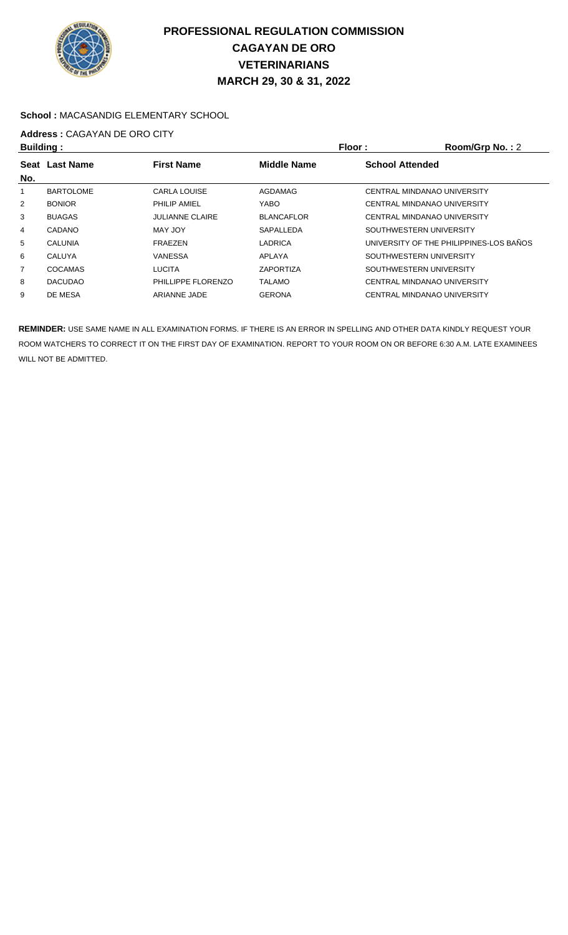

### **School :** MACASANDIG ELEMENTARY SCHOOL

## **Address :** CAGAYAN DE ORO CITY

| <b>Building:</b> |                  |                        | Floor:                                       | Room/Grp No.: 2                         |  |
|------------------|------------------|------------------------|----------------------------------------------|-----------------------------------------|--|
| Seat             | <b>Last Name</b> | <b>First Name</b>      | <b>School Attended</b><br><b>Middle Name</b> |                                         |  |
| No.              |                  |                        |                                              |                                         |  |
|                  | <b>BARTOLOME</b> | <b>CARLA LOUISE</b>    | <b>AGDAMAG</b>                               | CENTRAL MINDANAO UNIVERSITY             |  |
| $\overline{2}$   | <b>BONIOR</b>    | PHILIP AMIEL           | <b>YABO</b>                                  | CENTRAL MINDANAO UNIVERSITY             |  |
| 3                | <b>BUAGAS</b>    | <b>JULIANNE CLAIRE</b> | <b>BLANCAFLOR</b>                            | CENTRAL MINDANAO UNIVERSITY             |  |
| 4                | CADANO           | MAY JOY                | SAPALLEDA                                    | SOUTHWESTERN UNIVERSITY                 |  |
| 5                | <b>CALUNIA</b>   | <b>FRAEZEN</b>         | LADRICA                                      | UNIVERSITY OF THE PHILIPPINES-LOS BAÑOS |  |
| 6                | <b>CALUYA</b>    | <b>VANESSA</b>         | APLAYA                                       | SOUTHWESTERN UNIVERSITY                 |  |
| 7                | <b>COCAMAS</b>   | <b>LUCITA</b>          | <b>ZAPORTIZA</b>                             | SOUTHWESTERN UNIVERSITY                 |  |
| 8                | <b>DACUDAO</b>   | PHILLIPPE FLORENZO     | <b>TALAMO</b>                                | CENTRAL MINDANAO UNIVERSITY             |  |
| 9                | DE MESA          | <b>ARIANNE JADE</b>    | <b>GERONA</b>                                | CENTRAL MINDANAO UNIVERSITY             |  |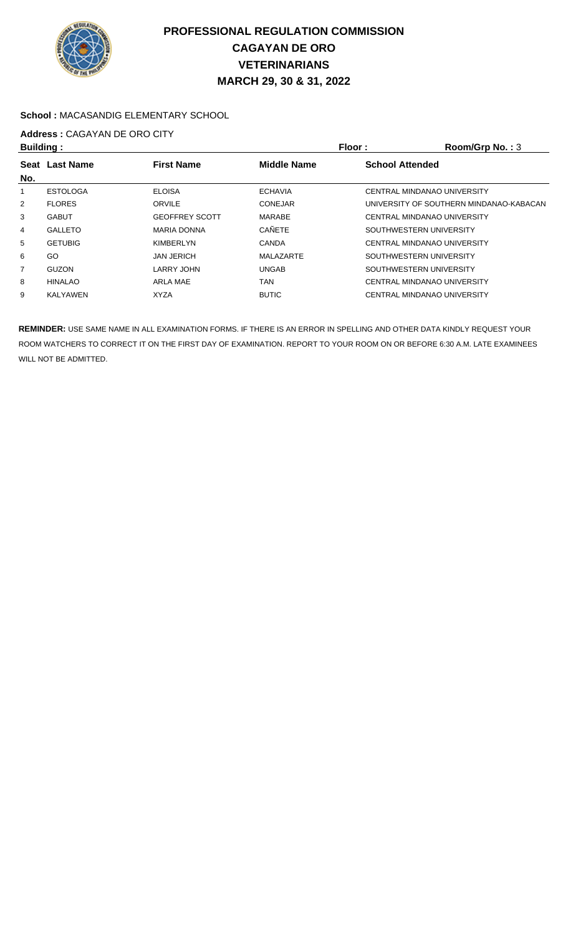

### **School :** MACASANDIG ELEMENTARY SCHOOL

# **Address :** CAGAYAN DE ORO CITY

| <b>Building:</b> |                  |                       | Floor :            | Room/Grp No.: 3                         |
|------------------|------------------|-----------------------|--------------------|-----------------------------------------|
| Seat<br>No.      | <b>Last Name</b> | <b>First Name</b>     | <b>Middle Name</b> | <b>School Attended</b>                  |
|                  | <b>ESTOLOGA</b>  | <b>ELOISA</b>         | <b>ECHAVIA</b>     | CENTRAL MINDANAO UNIVERSITY             |
| $\overline{2}$   | <b>FLORES</b>    | ORVILE                | <b>CONEJAR</b>     | UNIVERSITY OF SOUTHERN MINDANAO-KABACAN |
| 3                | <b>GABUT</b>     | <b>GEOFFREY SCOTT</b> | MARABE             | CENTRAL MINDANAO UNIVERSITY             |
| 4                | <b>GALLETO</b>   | <b>MARIA DONNA</b>    | <b>CAÑETE</b>      | SOUTHWESTERN UNIVERSITY                 |
| 5                | <b>GETUBIG</b>   | KIMBERLYN             | <b>CANDA</b>       | CENTRAL MINDANAO UNIVERSITY             |
| 6                | GO               | <b>JAN JERICH</b>     | MALAZARTE          | SOUTHWESTERN UNIVERSITY                 |
| 7                | <b>GUZON</b>     | <b>LARRY JOHN</b>     | <b>UNGAB</b>       | SOUTHWESTERN UNIVERSITY                 |
| 8                | <b>HINALAO</b>   | ARLA MAE              | <b>TAN</b>         | CENTRAL MINDANAO UNIVERSITY             |
| 9                | KALYAWEN         | <b>XYZA</b>           | <b>BUTIC</b>       | CENTRAL MINDANAO UNIVERSITY             |
|                  |                  |                       |                    |                                         |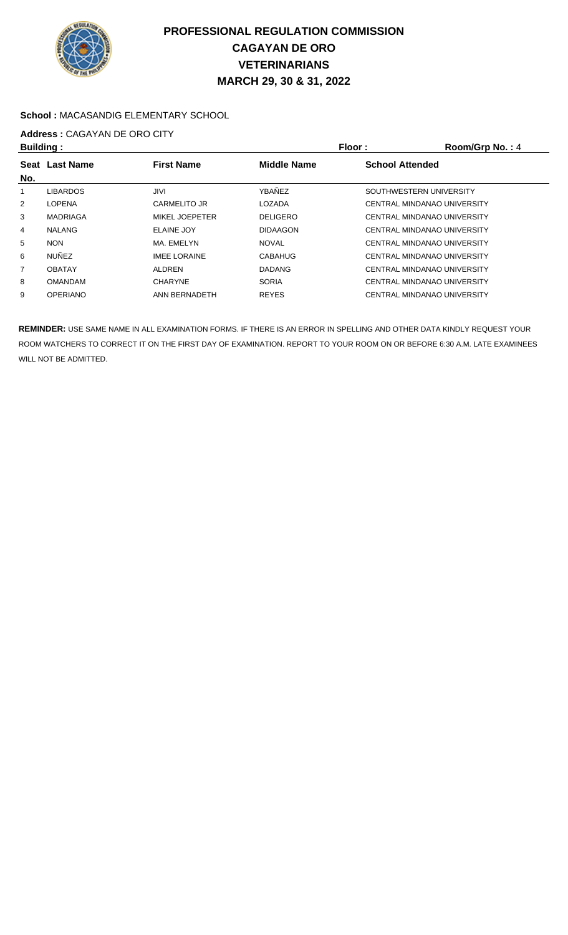

### **School :** MACASANDIG ELEMENTARY SCHOOL

## **Address :** CAGAYAN DE ORO CITY

| <b>Building:</b> |                 |                                         |                 | Floor:<br>Room/Grp No.: 4   |  |
|------------------|-----------------|-----------------------------------------|-----------------|-----------------------------|--|
|                  | Seat Last Name  | <b>First Name</b><br><b>Middle Name</b> |                 | <b>School Attended</b>      |  |
| No.              |                 |                                         |                 |                             |  |
| 1                | <b>LIBARDOS</b> | JIVIL                                   | YBAÑEZ          | SOUTHWESTERN UNIVERSITY     |  |
| $\overline{2}$   | <b>LOPENA</b>   | <b>CARMELITO JR</b>                     | LOZADA          | CENTRAL MINDANAO UNIVERSITY |  |
| 3                | MADRIAGA        | <b>MIKEL JOEPETER</b>                   | <b>DELIGERO</b> | CENTRAL MINDANAO UNIVERSITY |  |
| 4                | <b>NALANG</b>   | <b>ELAINE JOY</b>                       | <b>DIDAAGON</b> | CENTRAL MINDANAO UNIVERSITY |  |
| 5                | <b>NON</b>      | MA. EMELYN                              | <b>NOVAL</b>    | CENTRAL MINDANAO UNIVERSITY |  |
| 6                | <b>NUÑEZ</b>    | <b>IMEE LORAINE</b>                     | <b>CABAHUG</b>  | CENTRAL MINDANAO UNIVERSITY |  |
| $\overline{7}$   | <b>OBATAY</b>   | ALDREN                                  | <b>DADANG</b>   | CENTRAL MINDANAO UNIVERSITY |  |
| 8                | <b>OMANDAM</b>  | <b>CHARYNE</b>                          | <b>SORIA</b>    | CENTRAL MINDANAO UNIVERSITY |  |
| 9                | <b>OPERIANO</b> | ANN BERNADETH                           | <b>REYES</b>    | CENTRAL MINDANAO UNIVERSITY |  |
|                  |                 |                                         |                 |                             |  |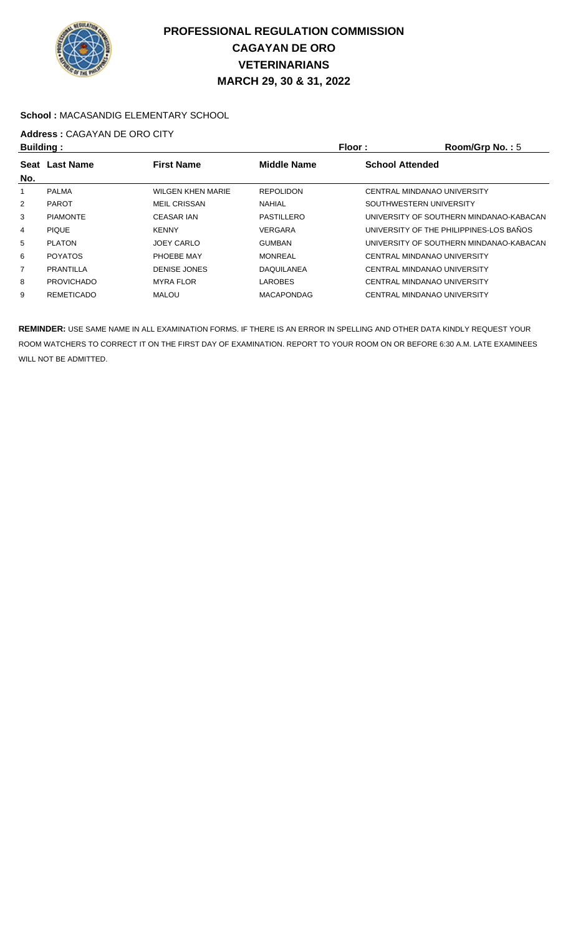

### **School :** MACASANDIG ELEMENTARY SCHOOL

# **Address :** CAGAYAN DE ORO CITY

| <b>Building:</b> |                                                             |                          | Floor:            | Room/Grp No.: $5$                       |
|------------------|-------------------------------------------------------------|--------------------------|-------------------|-----------------------------------------|
| Seat             | <b>Last Name</b><br><b>First Name</b><br><b>Middle Name</b> |                          |                   | <b>School Attended</b>                  |
| No.              |                                                             |                          |                   |                                         |
|                  | <b>PALMA</b>                                                | <b>WILGEN KHEN MARIE</b> | <b>REPOLIDON</b>  | CENTRAL MINDANAO UNIVERSITY             |
| $\overline{2}$   | <b>PAROT</b>                                                | <b>MEIL CRISSAN</b>      | <b>NAHIAL</b>     | SOUTHWESTERN UNIVERSITY                 |
| 3                | <b>PIAMONTE</b>                                             | <b>CEASAR IAN</b>        | PASTILLERO        | UNIVERSITY OF SOUTHERN MINDANAO-KABACAN |
| 4                | <b>PIQUE</b>                                                | <b>KENNY</b>             | <b>VERGARA</b>    | UNIVERSITY OF THE PHILIPPINES-LOS BANOS |
| 5                | <b>PLATON</b>                                               | <b>JOEY CARLO</b>        | <b>GUMBAN</b>     | UNIVERSITY OF SOUTHERN MINDANAO-KABACAN |
| 6                | <b>POYATOS</b>                                              | PHOEBE MAY               | <b>MONREAL</b>    | CENTRAL MINDANAO UNIVERSITY             |
| $\overline{7}$   | PRANTILLA                                                   | <b>DENISE JONES</b>      | <b>DAQUILANEA</b> | CENTRAL MINDANAO UNIVERSITY             |
| 8                | <b>PROVICHADO</b>                                           | <b>MYRA FLOR</b>         | <b>LAROBES</b>    | CENTRAL MINDANAO UNIVERSITY             |
| 9                | <b>REMETICADO</b>                                           | MALOU                    | <b>MACAPONDAG</b> | CENTRAL MINDANAO UNIVERSITY             |
|                  |                                                             |                          |                   |                                         |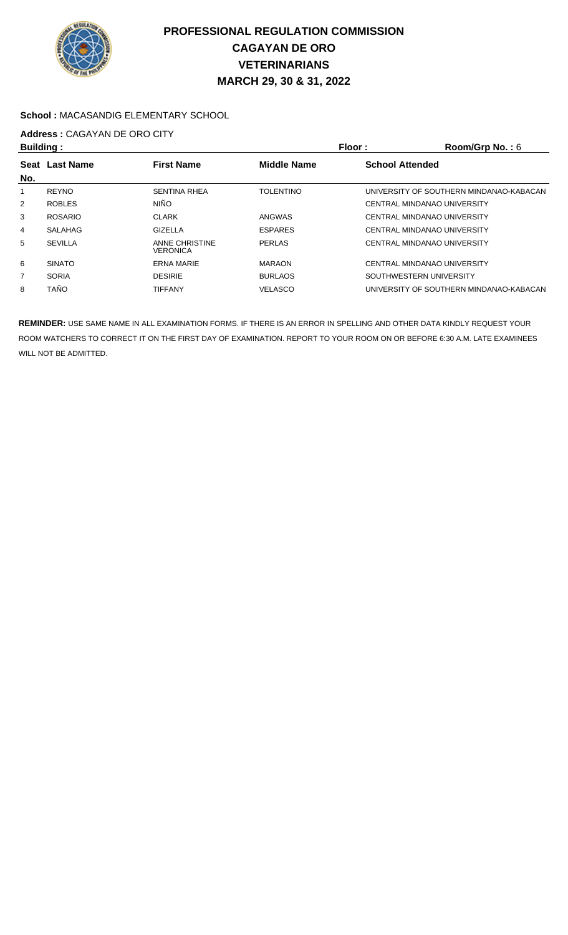

#### **School :** MACASANDIG ELEMENTARY SCHOOL

# **Address :** CAGAYAN DE ORO CITY

| <b>Building:</b> |                  |                                   | Floor:                                       | Room/Grp No.: 6                         |
|------------------|------------------|-----------------------------------|----------------------------------------------|-----------------------------------------|
| <b>Seat</b>      | <b>Last Name</b> | <b>First Name</b>                 | <b>Middle Name</b><br><b>School Attended</b> |                                         |
| No.              |                  |                                   |                                              |                                         |
|                  | <b>REYNO</b>     | <b>SENTINA RHEA</b>               | <b>TOLENTINO</b>                             | UNIVERSITY OF SOUTHERN MINDANAO-KABACAN |
| $\overline{2}$   | <b>ROBLES</b>    | <b>NIÑO</b>                       |                                              | CENTRAL MINDANAO UNIVERSITY             |
| 3                | <b>ROSARIO</b>   | <b>CLARK</b>                      | <b>ANGWAS</b>                                | CENTRAL MINDANAO UNIVERSITY             |
| 4                | <b>SALAHAG</b>   | <b>GIZELLA</b>                    | <b>ESPARES</b>                               | CENTRAL MINDANAO UNIVERSITY             |
| 5                | <b>SEVILLA</b>   | ANNE CHRISTINE<br><b>VERONICA</b> | PERLAS                                       | CENTRAL MINDANAO UNIVERSITY             |
| 6                | <b>SINATO</b>    | <b>ERNA MARIE</b>                 | <b>MARAON</b>                                | CENTRAL MINDANAO UNIVERSITY             |
| 7                | <b>SORIA</b>     | <b>DESIRIE</b>                    | <b>BURLAOS</b>                               | SOUTHWESTERN UNIVERSITY                 |
| 8                | <b>TAÑO</b>      | <b>TIFFANY</b>                    | <b>VELASCO</b>                               | UNIVERSITY OF SOUTHERN MINDANAO-KABACAN |